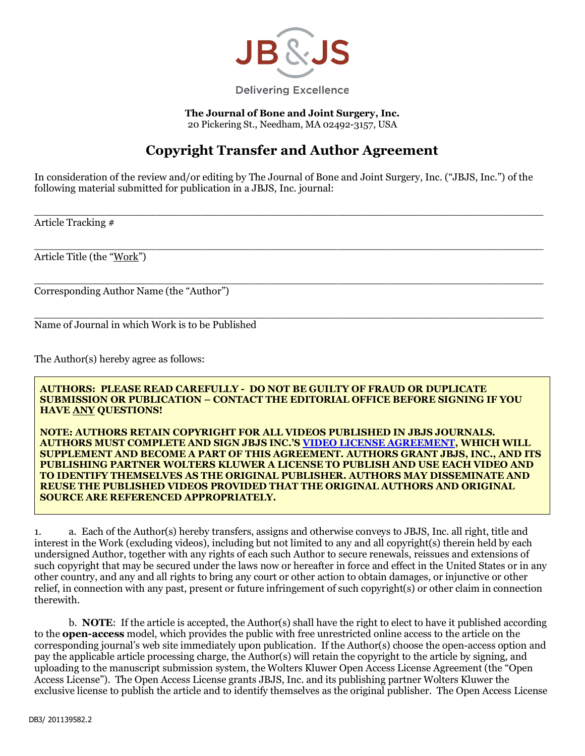

**The Journal of Bone and Joint Surgery, Inc.** 20 Pickering St., Needham, MA 02492-3157, USA

## **Copyright Transfer and Author Agreement**

In consideration of the review and/or editing by The Journal of Bone and Joint Surgery, Inc. ("JBJS, Inc.") of the following material submitted for publication in a JBJS, Inc. journal:

 $\_$  , and the set of the set of the set of the set of the set of the set of the set of the set of the set of the set of the set of the set of the set of the set of the set of the set of the set of the set of the set of th

 $\mathcal{L}_\mathcal{L} = \mathcal{L}_\mathcal{L} = \mathcal{L}_\mathcal{L} = \mathcal{L}_\mathcal{L} = \mathcal{L}_\mathcal{L} = \mathcal{L}_\mathcal{L} = \mathcal{L}_\mathcal{L} = \mathcal{L}_\mathcal{L} = \mathcal{L}_\mathcal{L} = \mathcal{L}_\mathcal{L} = \mathcal{L}_\mathcal{L} = \mathcal{L}_\mathcal{L} = \mathcal{L}_\mathcal{L} = \mathcal{L}_\mathcal{L} = \mathcal{L}_\mathcal{L} = \mathcal{L}_\mathcal{L} = \mathcal{L}_\mathcal{L}$ 

Article Tracking #

Article Title (the "Work")

\_\_\_\_\_\_\_\_\_\_\_\_\_\_\_\_\_\_\_\_\_\_\_\_\_\_\_\_\_\_\_\_\_\_\_\_\_\_\_\_\_\_\_\_\_\_\_\_\_\_\_\_\_\_\_\_\_\_\_\_\_\_\_\_\_\_\_\_\_\_\_\_\_\_\_\_\_\_\_ Corresponding Author Name (the "Author")

 $\mathcal{L}_\mathcal{L} = \mathcal{L}_\mathcal{L} = \mathcal{L}_\mathcal{L} = \mathcal{L}_\mathcal{L} = \mathcal{L}_\mathcal{L} = \mathcal{L}_\mathcal{L} = \mathcal{L}_\mathcal{L} = \mathcal{L}_\mathcal{L} = \mathcal{L}_\mathcal{L} = \mathcal{L}_\mathcal{L} = \mathcal{L}_\mathcal{L} = \mathcal{L}_\mathcal{L} = \mathcal{L}_\mathcal{L} = \mathcal{L}_\mathcal{L} = \mathcal{L}_\mathcal{L} = \mathcal{L}_\mathcal{L} = \mathcal{L}_\mathcal{L}$ Name of Journal in which Work is to be Published

The Author(s) hereby agree as follows:

**AUTHORS: PLEASE READ CAREFULLY - DO NOT BE GUILTY OF FRAUD OR DUPLICATE SUBMISSION OR PUBLICATION – CONTACT THE EDITORIAL OFFICE BEFORE SIGNING IF YOU HAVE ANY QUESTIONS!**

**NOTE: AUTHORS RETAIN COPYRIGHT FOR ALL VIDEOS PUBLISHED IN JBJS JOURNALS. AUTHORS MUST COMPLETE AND SIGN JBJS INC.'[S VIDEO LICENSE AGREEMENT,](http://sites.jbjs.org/jbjs/jbjs_video_permissions.pdf) WHICH WILL SUPPLEMENT AND BECOME A PART OF THIS AGREEMENT. AUTHORS GRANT JBJS, INC., AND ITS PUBLISHING PARTNER WOLTERS KLUWER A LICENSE TO PUBLISH AND USE EACH VIDEO AND TO IDENTIFY THEMSELVES AS THE ORIGINAL PUBLISHER. AUTHORS MAY DISSEMINATE AND REUSE THE PUBLISHED VIDEOS PROVIDED THAT THE ORIGINAL AUTHORS AND ORIGINAL SOURCE ARE REFERENCED APPROPRIATELY.** 

1. a. Each of the Author(s) hereby transfers, assigns and otherwise conveys to JBJS, Inc. all right, title and interest in the Work (excluding videos), including but not limited to any and all copyright(s) therein held by each undersigned Author, together with any rights of each such Author to secure renewals, reissues and extensions of such copyright that may be secured under the laws now or hereafter in force and effect in the United States or in any other country, and any and all rights to bring any court or other action to obtain damages, or injunctive or other relief, in connection with any past, present or future infringement of such copyright(s) or other claim in connection therewith.

b. **NOTE**: If the article is accepted, the Author(s) shall have the right to elect to have it published according to the **open-access** model, which provides the public with free unrestricted online access to the article on the corresponding journal's web site immediately upon publication. If the Author(s) choose the open-access option and pay the applicable article processing charge, the Author(s) will retain the copyright to the article by signing, and uploading to the manuscript submission system, the Wolters Kluwer Open Access License Agreement (the "Open Access License"). The Open Access License grants JBJS, Inc. and its publishing partner Wolters Kluwer the exclusive license to publish the article and to identify themselves as the original publisher. The Open Access License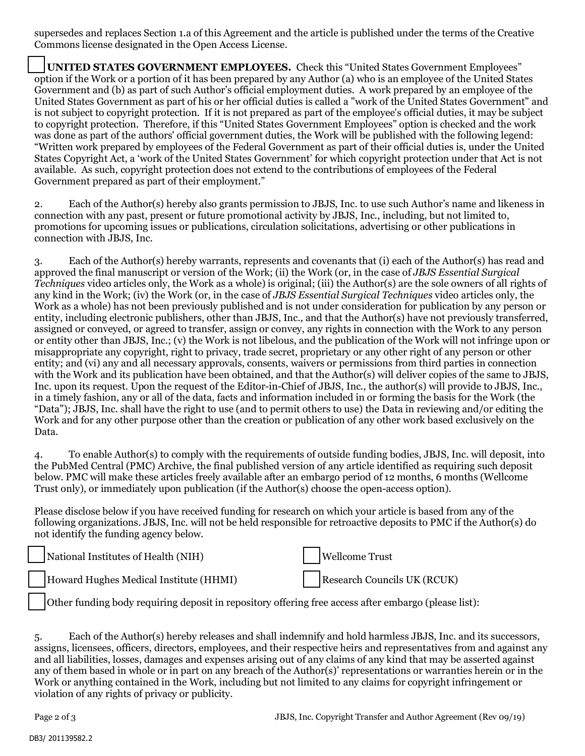supersedes and replaces Section 1.a of this Agreement and the article is published under the terms of the Creative Commons license designated in the Open Access License.

 **UNITED STATES GOVERNMENT EMPLOYEES.** Check this "United States Government Employees" option if the Work or a portion of it has been prepared by any Author (a) who is an employee of the United States Government and (b) as part of such Author's official employment duties. A work prepared by an employee of the United States Government as part of his or her official duties is called a "work of the United States Government" and is not subject to copyright protection. If it is not prepared as part of the employee's official duties, it may be subject to copyright protection. Therefore, if this "United States Government Employees" option is checked and the work was done as part of the authors' official government duties, the Work will be published with the following legend: "Written work prepared by employees of the Federal Government as part of their official duties is, under the United States Copyright Act, a 'work of the United States Government' for which copyright protection under that Act is not available. As such, copyright protection does not extend to the contributions of employees of the Federal Government prepared as part of their employment."

2. Each of the Author(s) hereby also grants permission to JBJS, Inc. to use such Author's name and likeness in connection with any past, present or future promotional activity by JBJS, Inc., including, but not limited to, promotions for upcoming issues or publications, circulation solicitations, advertising or other publications in connection with JBJS, Inc.

3. Each of the Author(s) hereby warrants, represents and covenants that (i) each of the Author(s) has read and approved the final manuscript or version of the Work; (ii) the Work (or, in the case of *JBJS Essential Surgical Techniques* video articles only, the Work as a whole) is original; (iii) the Author(s) are the sole owners of all rights of any kind in the Work; (iv) the Work (or, in the case of *JBJS Essential Surgical Techniques* video articles only, the Work as a whole) has not been previously published and is not under consideration for publication by any person or entity, including electronic publishers, other than JBJS, Inc.*,* and that the Author(s) have not previously transferred, assigned or conveyed, or agreed to transfer, assign or convey, any rights in connection with the Work to any person or entity other than JBJS, Inc.; (v) the Work is not libelous, and the publication of the Work will not infringe upon or misappropriate any copyright, right to privacy, trade secret, proprietary or any other right of any person or other entity; and (vi) any and all necessary approvals, consents, waivers or permissions from third parties in connection with the Work and its publication have been obtained, and that the Author(s) will deliver copies of the same to JBJS, Inc. upon its request. Upon the request of the Editor-in-Chief of JBJS, Inc., the author(s) will provide to JBJS, Inc., in a timely fashion, any or all of the data, facts and information included in or forming the basis for the Work (the "Data"); JBJS, Inc. shall have the right to use (and to permit others to use) the Data in reviewing and/or editing the Work and for any other purpose other than the creation or publication of any other work based exclusively on the Data.

4. To enable Author(s) to comply with the requirements of outside funding bodies, JBJS, Inc. will deposit, into the PubMed Central (PMC) Archive, the final published version of any article identified as requiring such deposit below. PMC will make these articles freely available after an embargo period of 12 months, 6 months (Wellcome Trust only), or immediately upon publication (if the Author(s) choose the open-access option).

Please disclose below if you have received funding for research on which your article is based from any of the following organizations. JBJS, Inc. will not be held responsible for retroactive deposits to PMC if the Author(s) do not identify the funding agency below.

| National Institutes of Health (NIH)    | Wellcome Trust              |
|----------------------------------------|-----------------------------|
| Howard Hughes Medical Institute (HHMI) | Research Councils UK (RCUK) |

Other funding body requiring deposit in repository offering free access after embargo (please list):

5. Each of the Author(s) hereby releases and shall indemnify and hold harmless JBJS, Inc. and its successors, assigns, licensees, officers, directors, employees, and their respective heirs and representatives from and against any and all liabilities, losses, damages and expenses arising out of any claims of any kind that may be asserted against any of them based in whole or in part on any breach of the Author(s)' representations or warranties herein or in the Work or anything contained in the Work, including but not limited to any claims for copyright infringement or violation of any rights of privacy or publicity.